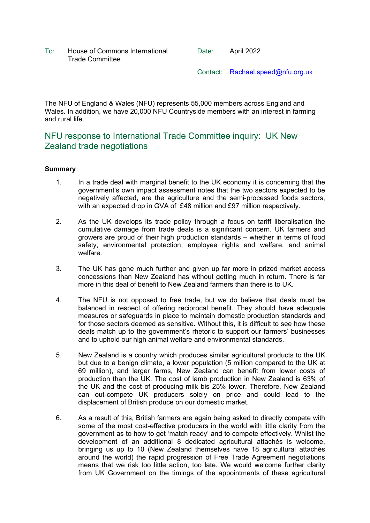To: House of Commons International Trade Committee

Date: April 2022

Contact: Rachael.speed@nfu.org.uk

The NFU of England & Wales (NFU) represents 55,000 members across England and Wales. In addition, we have 20,000 NFU Countryside members with an interest in farming and rural life.

# NFU response to International Trade Committee inquiry: UK New Zealand trade negotiations

## **Summary**

- 1. In a trade deal with marginal benefit to the UK economy it is concerning that the government's own impact assessment notes that the two sectors expected to be negatively affected, are the agriculture and the semi-processed foods sectors, with an expected drop in GVA of £48 million and £97 million respectively.
- 2. As the UK develops its trade policy through a focus on tariff liberalisation the cumulative damage from trade deals is a significant concern. UK farmers and growers are proud of their high production standards – whether in terms of food safety, environmental protection, employee rights and welfare, and animal welfare.
- 3. The UK has gone much further and given up far more in prized market access concessions than New Zealand has without getting much in return. There is far more in this deal of benefit to New Zealand farmers than there is to UK.
- 4. The NFU is not opposed to free trade, but we do believe that deals must be balanced in respect of offering reciprocal benefit. They should have adequate measures or safeguards in place to maintain domestic production standards and for those sectors deemed as sensitive. Without this, it is difficult to see how these deals match up to the government's rhetoric to support our farmers' businesses and to uphold our high animal welfare and environmental standards.
- 5. New Zealand is a country which produces similar agricultural products to the UK but due to a benign climate, a lower population (5 million compared to the UK at 69 million), and larger farms, New Zealand can benefit from lower costs of production than the UK. The cost of lamb production in New Zealand is 63% of the UK and the cost of producing milk bis 25% lower. Therefore, New Zealand can out-compete UK producers solely on price and could lead to the displacement of British produce on our domestic market.
- 6. As a result of this, British farmers are again being asked to directly compete with some of the most cost-effective producers in the world with little clarity from the government as to how to get 'match ready' and to compete effectively. Whilst the development of an additional 8 dedicated agricultural attachés is welcome, bringing us up to 10 (New Zealand themselves have 18 agricultural attachés around the world) the rapid progression of Free Trade Agreement negotiations means that we risk too little action, too late. We would welcome further clarity from UK Government on the timings of the appointments of these agricultural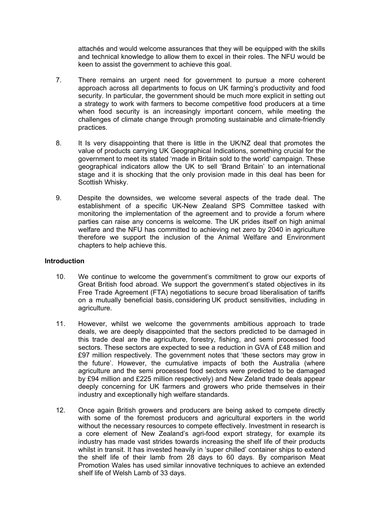attachés and would welcome assurances that they will be equipped with the skills and technical knowledge to allow them to excel in their roles. The NFU would be keen to assist the government to achieve this goal.

- 7. There remains an urgent need for government to pursue a more coherent approach across all departments to focus on UK farming's productivity and food security. In particular, the government should be much more explicit in setting out a strategy to work with farmers to become competitive food producers at a time when food security is an increasingly important concern, while meeting the challenges of climate change through promoting sustainable and climate-friendly practices.
- 8. It Is very disappointing that there is little in the UK/NZ deal that promotes the value of products carrying UK Geographical Indications, something crucial for the government to meet its stated 'made in Britain sold to the world' campaign. These geographical indicators allow the UK to sell 'Brand Britain' to an international stage and it is shocking that the only provision made in this deal has been for Scottish Whisky.
- 9. Despite the downsides, we welcome several aspects of the trade deal. The establishment of a specific UK-New Zealand SPS Committee tasked with monitoring the implementation of the agreement and to provide a forum where parties can raise any concerns is welcome. The UK prides itself on high animal welfare and the NFU has committed to achieving net zero by 2040 in agriculture therefore we support the inclusion of the Animal Welfare and Environment chapters to help achieve this.

#### **Introduction**

- 10. We continue to welcome the government's commitment to grow our exports of Great British food abroad. We support the government's stated objectives in its Free Trade Agreement (FTA) negotiations to secure broad liberalisation of tariffs on a mutually beneficial basis, considering UK product sensitivities, including in agriculture.
- 11. However, whilst we welcome the governments ambitious approach to trade deals, we are deeply disappointed that the sectors predicted to be damaged in this trade deal are the agriculture, forestry, fishing, and semi processed food sectors. These sectors are expected to see a reduction in GVA of £48 million and £97 million respectively. The government notes that 'these sectors may grow in the future'. However, the cumulative impacts of both the Australia (where agriculture and the semi processed food sectors were predicted to be damaged by £94 million and £225 million respectively) and New Zeland trade deals appear deeply concerning for UK farmers and growers who pride themselves in their industry and exceptionally high welfare standards.
- 12. Once again British growers and producers are being asked to compete directly with some of the foremost producers and agricultural exporters in the world without the necessary resources to compete effectively. Investment in research is a core element of New Zealand's agri-food export strategy, for example its industry has made vast strides towards increasing the shelf life of their products whilst in transit. It has invested heavily in 'super chilled' container ships to extend the shelf life of their lamb from 28 days to 60 days. By comparison Meat Promotion Wales has used similar innovative techniques to achieve an extended shelf life of Welsh Lamb of 33 days.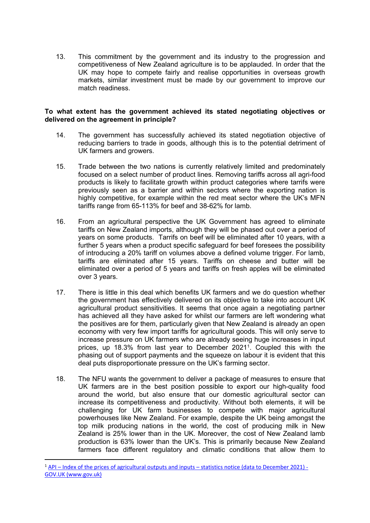13. This commitment by the government and its industry to the progression and competitiveness of New Zealand agriculture is to be applauded. In order that the UK may hope to compete fairly and realise opportunities in overseas growth markets, similar investment must be made by our government to improve our match readiness.

#### **To what extent has the government achieved its stated negotiating objectives or delivered on the agreement in principle?**

- 14. The government has successfully achieved its stated negotiation objective of reducing barriers to trade in goods, although this is to the potential detriment of UK farmers and growers.
- 15. Trade between the two nations is currently relatively limited and predominately focused on a select number of product lines. Removing tariffs across all agri-food products is likely to facilitate growth within product categories where tarrifs were previously seen as a barrier and within sectors where the exporting nation is highly competitive, for example within the red meat sector where the UK's MFN tariffs range from 65-113% for beef and 38-62% for lamb.
- 16. From an agricultural perspective the UK Government has agreed to eliminate tariffs on New Zealand imports, although they will be phased out over a period of years on some products. Tarrifs on beef will be eliminated after 10 years, with a further 5 years when a product specific safeguard for beef foresees the possibility of introducing a 20% tariff on volumes above a defined volume trigger. For lamb, tariffs are eliminated after 15 years. Tariffs on cheese and butter will be eliminated over a period of 5 years and tariffs on fresh apples will be eliminated over 3 years.
- 17. There is little in this deal which benefits UK farmers and we do question whether the government has effectively delivered on its objective to take into account UK agricultural product sensitivities. It seems that once again a negotiating partner has achieved all they have asked for whilst our farmers are left wondering what the positives are for them, particularly given that New Zealand is already an open economy with very few import tariffs for agricultural goods. This will only serve to increase pressure on UK farmers who are already seeing huge increases in input prices, up 18.3% from last year to December 2021<sup>1</sup>. Coupled this with the phasing out of support payments and the squeeze on labour it is evident that this deal puts disproportionate pressure on the UK's farming sector.
- 18. The NFU wants the government to deliver a package of measures to ensure that UK farmers are in the best position possible to export our high-quality food around the world, but also ensure that our domestic agricultural sector can increase its competitiveness and productivity. Without both elements, it will be challenging for UK farm businesses to compete with major agricultural powerhouses like New Zealand. For example, despite the UK being amongst the top milk producing nations in the world, the cost of producing milk in New Zealand is 25% lower than in the UK. Moreover, the cost of New Zealand lamb production is 63% lower than the UK's. This is primarily because New Zealand farmers face different regulatory and climatic conditions that allow them to

<sup>1</sup> [API](https://www.gov.uk/government/statistics/agricultural-price-indices/api-index-of-the-purchase-prices-of-the-means-of-agricultural-production-statistics-notice-data-to-september-2021) [–](https://www.gov.uk/government/statistics/agricultural-price-indices/api-index-of-the-purchase-prices-of-the-means-of-agricultural-production-statistics-notice-data-to-september-2021) [Index](https://www.gov.uk/government/statistics/agricultural-price-indices/api-index-of-the-purchase-prices-of-the-means-of-agricultural-production-statistics-notice-data-to-september-2021) [of](https://www.gov.uk/government/statistics/agricultural-price-indices/api-index-of-the-purchase-prices-of-the-means-of-agricultural-production-statistics-notice-data-to-september-2021) [the](https://www.gov.uk/government/statistics/agricultural-price-indices/api-index-of-the-purchase-prices-of-the-means-of-agricultural-production-statistics-notice-data-to-september-2021) [prices](https://www.gov.uk/government/statistics/agricultural-price-indices/api-index-of-the-purchase-prices-of-the-means-of-agricultural-production-statistics-notice-data-to-september-2021) [of](https://www.gov.uk/government/statistics/agricultural-price-indices/api-index-of-the-purchase-prices-of-the-means-of-agricultural-production-statistics-notice-data-to-september-2021) [agricultural](https://www.gov.uk/government/statistics/agricultural-price-indices/api-index-of-the-purchase-prices-of-the-means-of-agricultural-production-statistics-notice-data-to-september-2021) [outputs](https://www.gov.uk/government/statistics/agricultural-price-indices/api-index-of-the-purchase-prices-of-the-means-of-agricultural-production-statistics-notice-data-to-september-2021) [and](https://www.gov.uk/government/statistics/agricultural-price-indices/api-index-of-the-purchase-prices-of-the-means-of-agricultural-production-statistics-notice-data-to-september-2021) [inputs](https://www.gov.uk/government/statistics/agricultural-price-indices/api-index-of-the-purchase-prices-of-the-means-of-agricultural-production-statistics-notice-data-to-september-2021) [–](https://www.gov.uk/government/statistics/agricultural-price-indices/api-index-of-the-purchase-prices-of-the-means-of-agricultural-production-statistics-notice-data-to-september-2021) [statistics](https://www.gov.uk/government/statistics/agricultural-price-indices/api-index-of-the-purchase-prices-of-the-means-of-agricultural-production-statistics-notice-data-to-september-2021) [notice](https://www.gov.uk/government/statistics/agricultural-price-indices/api-index-of-the-purchase-prices-of-the-means-of-agricultural-production-statistics-notice-data-to-september-2021) [\(data](https://www.gov.uk/government/statistics/agricultural-price-indices/api-index-of-the-purchase-prices-of-the-means-of-agricultural-production-statistics-notice-data-to-september-2021) [to](https://www.gov.uk/government/statistics/agricultural-price-indices/api-index-of-the-purchase-prices-of-the-means-of-agricultural-production-statistics-notice-data-to-september-2021) [December](https://www.gov.uk/government/statistics/agricultural-price-indices/api-index-of-the-purchase-prices-of-the-means-of-agricultural-production-statistics-notice-data-to-september-2021) [2021\)](https://www.gov.uk/government/statistics/agricultural-price-indices/api-index-of-the-purchase-prices-of-the-means-of-agricultural-production-statistics-notice-data-to-september-2021) [-](https://www.gov.uk/government/statistics/agricultural-price-indices/api-index-of-the-purchase-prices-of-the-means-of-agricultural-production-statistics-notice-data-to-september-2021) [GOV.UK](https://www.gov.uk/government/statistics/agricultural-price-indices/api-index-of-the-purchase-prices-of-the-means-of-agricultural-production-statistics-notice-data-to-september-2021) [\(www.gov.uk\)](https://www.gov.uk/government/statistics/agricultural-price-indices/api-index-of-the-purchase-prices-of-the-means-of-agricultural-production-statistics-notice-data-to-september-2021)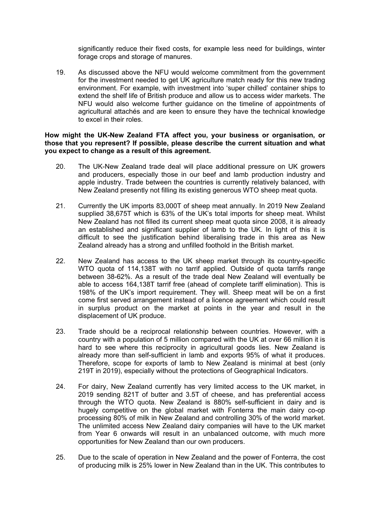significantly reduce their fixed costs, for example less need for buildings, winter forage crops and storage of manures.

19. As discussed above the NFU would welcome commitment from the government for the investment needed to get UK agriculture match ready for this new trading environment. For example, with investment into 'super chilled' container ships to extend the shelf life of British produce and allow us to access wider markets. The NFU would also welcome further guidance on the timeline of appointments of agricultural attachés and are keen to ensure they have the technical knowledge to excel in their roles.

#### **How might the UK-New Zealand FTA affect you, your business or organisation, or those that you represent? If possible, please describe the current situation and what you expect to change as a result of this agreement.**

- 20. The UK-New Zealand trade deal will place additional pressure on UK growers and producers, especially those in our beef and lamb production industry and apple industry. Trade between the countries is currently relatively balanced, with New Zealand presently not filling its existing generous WTO sheep meat quota.
- 21. Currently the UK imports 83,000T of sheep meat annually. In 2019 New Zealand supplied 38,675T which is 63% of the UK's total imports for sheep meat. Whilst New Zealand has not filled its current sheep meat quota since 2008, it is already an established and significant supplier of lamb to the UK. In light of this it is difficult to see the justification behind liberalising trade in this area as New Zealand already has a strong and unfilled foothold in the British market.
- 22. New Zealand has access to the UK sheep market through its country-specific WTO quota of 114,138T with no tarrif applied. Outside of quota tarrifs range between 38-62%. As a result of the trade deal New Zealand will eventually be able to access 164,138T tarrif free (ahead of complete tariff elimination). This is 198% of the UK's import requirement. They will. Sheep meat will be on a first come first served arrangement instead of a licence agreement which could result in surplus product on the market at points in the year and result in the displacement of UK produce.
- 23. Trade should be a reciprocal relationship between countries. However, with a country with a population of 5 million compared with the UK at over 66 million it is hard to see where this reciprocity in agricultural goods lies. New Zealand is already more than self-sufficient in lamb and exports 95% of what it produces. Therefore, scope for exports of lamb to New Zealand is minimal at best (only 219T in 2019), especially without the protections of Geographical Indicators.
- 24. For dairy, New Zealand currently has very limited access to the UK market, in 2019 sending 821T of butter and 3.5T of cheese, and has preferential access through the WTO quota. New Zealand is 880% self-sufficient in dairy and is hugely competitive on the global market with Fonterra the main dairy co-op processing 80% of milk in New Zealand and controlling 30% of the world market. The unlimited access New Zealand dairy companies will have to the UK market from Year 6 onwards will result in an unbalanced outcome, with much more opportunities for New Zealand than our own producers.
- 25. Due to the scale of operation in New Zealand and the power of Fonterra, the cost of producing milk is 25% lower in New Zealand than in the UK. This contributes to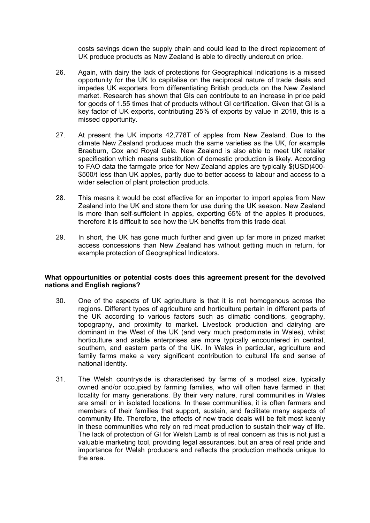costs savings down the supply chain and could lead to the direct replacement of UK produce products as New Zealand is able to directly undercut on price.

- 26. Again, with dairy the lack of protections for Geographical Indications is a missed opportunity for the UK to capitalise on the reciprocal nature of trade deals and impedes UK exporters from differentiating British products on the New Zealand market. Research has shown that GIs can contribute to an increase in price paid for goods of 1.55 times that of products without GI certification. Given that GI is a key factor of UK exports, contributing 25% of exports by value in 2018, this is a missed opportunity.
- 27. At present the UK imports 42,778T of apples from New Zealand. Due to the climate New Zealand produces much the same varieties as the UK, for example Braeburn, Cox and Royal Gala. New Zealand is also able to meet UK retailer specification which means substitution of domestic production is likely. According to FAO data the farmgate price for New Zealand apples are typically \$(USD)400- \$500/t less than UK apples, partly due to better access to labour and access to a wider selection of plant protection products.
- 28. This means it would be cost effective for an importer to import apples from New Zealand into the UK and store them for use during the UK season. New Zealand is more than self-sufficient in apples, exporting 65% of the apples it produces, therefore it is difficult to see how the UK benefits from this trade deal.
- 29. In short, the UK has gone much further and given up far more in prized market access concessions than New Zealand has without getting much in return, for example protection of Geographical Indicators.

#### **What oppourtunities or potential costs does this agreement present for the devolved nations and English regions?**

- 30. One of the aspects of UK agriculture is that it is not homogenous across the regions. Different types of agriculture and horticulture pertain in different parts of the UK according to various factors such as climatic conditions, geography, topography, and proximity to market. Livestock production and dairying are dominant in the West of the UK (and very much predominate in Wales), whilst horticulture and arable enterprises are more typically encountered in central, southern, and eastern parts of the UK. In Wales in particular, agriculture and family farms make a very significant contribution to cultural life and sense of national identity.
- 31. The Welsh countryside is characterised by farms of a modest size, typically owned and/or occupied by farming families, who will often have farmed in that locality for many generations. By their very nature, rural communities in Wales are small or in isolated locations. In these communities, it is often farmers and members of their families that support, sustain, and facilitate many aspects of community life. Therefore, the effects of new trade deals will be felt most keenly in these communities who rely on red meat production to sustain their way of life. The lack of protection of GI for Welsh Lamb is of real concern as this is not just a valuable marketing tool, providing legal assurances, but an area of real pride and importance for Welsh producers and reflects the production methods unique to the area.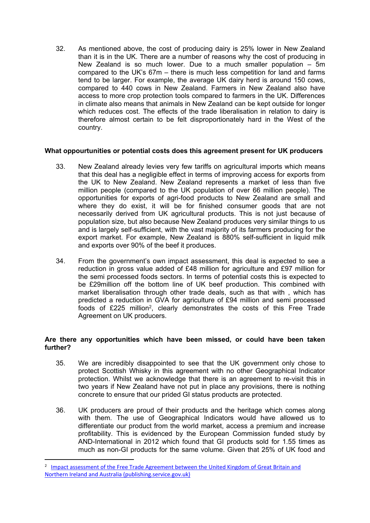32. As mentioned above, the cost of producing dairy is 25% lower in New Zealand than it is in the UK. There are a number of reasons why the cost of producing in New Zealand is so much lower. Due to a much smaller population – 5m compared to the UK's 67m – there is much less competition for land and farms tend to be larger. For example, the average UK dairy herd is around 150 cows, compared to 440 cows in New Zealand. Farmers in New Zealand also have access to more crop protection tools compared to farmers in the UK. Differences in climate also means that animals in New Zealand can be kept outside for longer which reduces cost. The effects of the trade liberalisation in relation to dairy is therefore almost certain to be felt disproportionately hard in the West of the country.

## **What oppourtunities or potential costs does this agreement present for UK producers**

- 33. New Zealand already levies very few tariffs on agricultural imports which means that this deal has a negligible effect in terms of improving access for exports from the UK to New Zealand. New Zealand represents a market of less than five million people (compared to the UK population of over 66 million people). The opportunities for exports of agri-food products to New Zealand are small and where they do exist, it will be for finished consumer goods that are not necessarily derived from UK agricultural products. This is not just because of population size, but also because New Zealand produces very similar things to us and is largely self-sufficient, with the vast majority of its farmers producing for the export market. For example, New Zealand is 880% self-sufficient in liquid milk and exports over 90% of the beef it produces.
- 34. From the government's own impact assessment, this deal is expected to see a reduction in gross value added of £48 million for agriculture and £97 million for the semi processed foods sectors. In terms of potential costs this is expected to be £29million off the bottom line of UK beef production. This combined with market liberalisation through other trade deals, such as that with , which has predicted a reduction in GVA for agriculture of £94 million and semi processed foods of £225 million<sup>2</sup>, clearly demonstrates the costs of this Free Trade Agreement on UK producers.

#### **Are there any opportunities which have been missed, or could have been taken further?**

- 35. We are incredibly disappointed to see that the UK government only chose to protect Scottish Whisky in this agreement with no other Geographical Indicator protection. Whilst we acknowledge that there is an agreement to re-visit this in two years if New Zealand have not put in place any provisions, there is nothing concrete to ensure that our prided GI status products are protected.
- 36. UK producers are proud of their products and the heritage which comes along with them. The use of Geographical Indicators would have allowed us to differentiate our product from the world market, access a premium and increase profitability. This is evidenced by the European Commission funded study by AND-International in 2012 which found that GI products sold for 1.55 times as much as non-GI products for the same volume. Given that 25% of UK food and

<sup>&</sup>lt;sup>2</sup> [Impact](https://assets.publishing.service.gov.uk/government/uploads/system/uploads/attachment_data/file/1041629/impact-assessment-of-the-free-trade-agreement-between-the-united-kingdom-of-great-britain-and-northern-ireland-and-australia.pdf) [assessment](https://assets.publishing.service.gov.uk/government/uploads/system/uploads/attachment_data/file/1041629/impact-assessment-of-the-free-trade-agreement-between-the-united-kingdom-of-great-britain-and-northern-ireland-and-australia.pdf) [of](https://assets.publishing.service.gov.uk/government/uploads/system/uploads/attachment_data/file/1041629/impact-assessment-of-the-free-trade-agreement-between-the-united-kingdom-of-great-britain-and-northern-ireland-and-australia.pdf) [the](https://assets.publishing.service.gov.uk/government/uploads/system/uploads/attachment_data/file/1041629/impact-assessment-of-the-free-trade-agreement-between-the-united-kingdom-of-great-britain-and-northern-ireland-and-australia.pdf) [Free](https://assets.publishing.service.gov.uk/government/uploads/system/uploads/attachment_data/file/1041629/impact-assessment-of-the-free-trade-agreement-between-the-united-kingdom-of-great-britain-and-northern-ireland-and-australia.pdf) [Trade](https://assets.publishing.service.gov.uk/government/uploads/system/uploads/attachment_data/file/1041629/impact-assessment-of-the-free-trade-agreement-between-the-united-kingdom-of-great-britain-and-northern-ireland-and-australia.pdf) [Agreement](https://assets.publishing.service.gov.uk/government/uploads/system/uploads/attachment_data/file/1041629/impact-assessment-of-the-free-trade-agreement-between-the-united-kingdom-of-great-britain-and-northern-ireland-and-australia.pdf) [between](https://assets.publishing.service.gov.uk/government/uploads/system/uploads/attachment_data/file/1041629/impact-assessment-of-the-free-trade-agreement-between-the-united-kingdom-of-great-britain-and-northern-ireland-and-australia.pdf) the [United](https://assets.publishing.service.gov.uk/government/uploads/system/uploads/attachment_data/file/1041629/impact-assessment-of-the-free-trade-agreement-between-the-united-kingdom-of-great-britain-and-northern-ireland-and-australia.pdf) [Kingdom](https://assets.publishing.service.gov.uk/government/uploads/system/uploads/attachment_data/file/1041629/impact-assessment-of-the-free-trade-agreement-between-the-united-kingdom-of-great-britain-and-northern-ireland-and-australia.pdf) of [Great](https://assets.publishing.service.gov.uk/government/uploads/system/uploads/attachment_data/file/1041629/impact-assessment-of-the-free-trade-agreement-between-the-united-kingdom-of-great-britain-and-northern-ireland-and-australia.pdf) [Britain](https://assets.publishing.service.gov.uk/government/uploads/system/uploads/attachment_data/file/1041629/impact-assessment-of-the-free-trade-agreement-between-the-united-kingdom-of-great-britain-and-northern-ireland-and-australia.pdf) [and](https://assets.publishing.service.gov.uk/government/uploads/system/uploads/attachment_data/file/1041629/impact-assessment-of-the-free-trade-agreement-between-the-united-kingdom-of-great-britain-and-northern-ireland-and-australia.pdf) [Northern](https://assets.publishing.service.gov.uk/government/uploads/system/uploads/attachment_data/file/1041629/impact-assessment-of-the-free-trade-agreement-between-the-united-kingdom-of-great-britain-and-northern-ireland-and-australia.pdf) [Ireland](https://assets.publishing.service.gov.uk/government/uploads/system/uploads/attachment_data/file/1041629/impact-assessment-of-the-free-trade-agreement-between-the-united-kingdom-of-great-britain-and-northern-ireland-and-australia.pdf) [and](https://assets.publishing.service.gov.uk/government/uploads/system/uploads/attachment_data/file/1041629/impact-assessment-of-the-free-trade-agreement-between-the-united-kingdom-of-great-britain-and-northern-ireland-and-australia.pdf) [Australia](https://assets.publishing.service.gov.uk/government/uploads/system/uploads/attachment_data/file/1041629/impact-assessment-of-the-free-trade-agreement-between-the-united-kingdom-of-great-britain-and-northern-ireland-and-australia.pdf) [\(publishing.service.gov.uk\)](https://assets.publishing.service.gov.uk/government/uploads/system/uploads/attachment_data/file/1041629/impact-assessment-of-the-free-trade-agreement-between-the-united-kingdom-of-great-britain-and-northern-ireland-and-australia.pdf)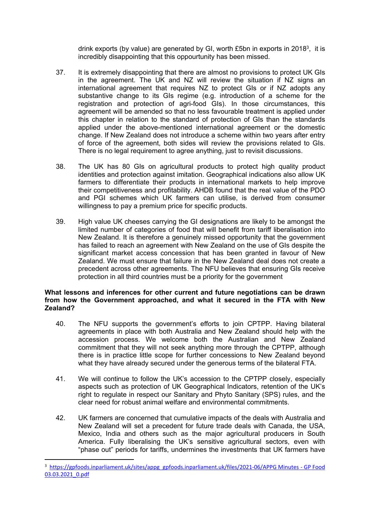drink exports (by value) are generated by GI, worth  $£5$ bn in exports in 2018<sup>3</sup>, it is incredibly disappointing that this oppourtunity has been missed.

- 37. It is extremely disappointing that there are almost no provisions to protect UK GIs in the agreement. The UK and NZ will review the situation if NZ signs an international agreement that requires NZ to protect GIs or if NZ adopts any substantive change to its GIs regime (e.g. introduction of a scheme for the registration and protection of agri-food GIs). In those circumstances, this agreement will be amended so that no less favourable treatment is applied under this chapter in relation to the standard of protection of GIs than the standards applied under the above-mentioned international agreement or the domestic change. If New Zealand does not introduce a scheme within two years after entry of force of the agreement, both sides will review the provisions related to GIs. There is no legal requirement to agree anything, just to revisit discussions.
- 38. The UK has 80 GIs on agricultural products to protect high quality product identities and protection against imitation. Geographical indications also allow UK farmers to differentiate their products in international markets to help improve their competitiveness and profitability. AHDB found that the real value of the PDO and PGI schemes which UK farmers can utilise, is derived from consumer willingness to pay a premium price for specific products.
- 39. High value UK cheeses carrying the GI designations are likely to be amongst the limited number of categories of food that will benefit from tariff liberalisation into New Zealand. It is therefore a genuinely missed opportunity that the government has failed to reach an agreement with New Zealand on the use of GIs despite the significant market access concession that has been granted in favour of New Zealand. We must ensure that failure in the New Zealand deal does not create a precedent across other agreements. The NFU believes that ensuring GIs receive protection in all third countries must be a priority for the government

#### **What lessons and inferences for other current and future negotiations can be drawn from how the Government approached, and what it secured in the FTA with New Zealand?**

- 40. The NFU supports the government's efforts to join CPTPP. Having bilateral agreements in place with both Australia and New Zealand should help with the accession process. We welcome both the Australian and New Zealand commitment that they will not seek anything more through the CPTPP, although there is in practice little scope for further concessions to New Zealand beyond what they have already secured under the generous terms of the bilateral FTA.
- 41. We will continue to follow the UK's accession to the CPTPP closely, especially aspects such as protection of UK Geographical Indicators, retention of the UK's right to regulate in respect our Sanitary and Phyto Sanitary (SPS) rules, and the clear need for robust animal welfare and environmental commitments.
- 42. UK farmers are concerned that cumulative impacts of the deals with Australia and New Zealand will set a precedent for future trade deals with Canada, the USA, Mexico, India and others such as the major agricultural producers in South America. Fully liberalising the UK's sensitive agricultural sectors, even with "phase out" periods for tariffs, undermines the investments that UK farmers have

<sup>3</sup> [https://gpfoods.inparliament.uk/sites/appg\\_gpfoods.inparliament.uk/files/2021-06/APPG](https://gpfoods.inparliament.uk/sites/appg_gpfoods.inparliament.uk/files/2021-06/APPG%20Minutes%20-%20GP%20Food%2003.03.2021_0.pdf) [Minutes](https://gpfoods.inparliament.uk/sites/appg_gpfoods.inparliament.uk/files/2021-06/APPG%20Minutes%20-%20GP%20Food%2003.03.2021_0.pdf) [-](https://gpfoods.inparliament.uk/sites/appg_gpfoods.inparliament.uk/files/2021-06/APPG%20Minutes%20-%20GP%20Food%2003.03.2021_0.pdf) [GP](https://gpfoods.inparliament.uk/sites/appg_gpfoods.inparliament.uk/files/2021-06/APPG%20Minutes%20-%20GP%20Food%2003.03.2021_0.pdf) [Food](https://gpfoods.inparliament.uk/sites/appg_gpfoods.inparliament.uk/files/2021-06/APPG%20Minutes%20-%20GP%20Food%2003.03.2021_0.pdf) [03.03.2021\\_0.pdf](https://gpfoods.inparliament.uk/sites/appg_gpfoods.inparliament.uk/files/2021-06/APPG%20Minutes%20-%20GP%20Food%2003.03.2021_0.pdf)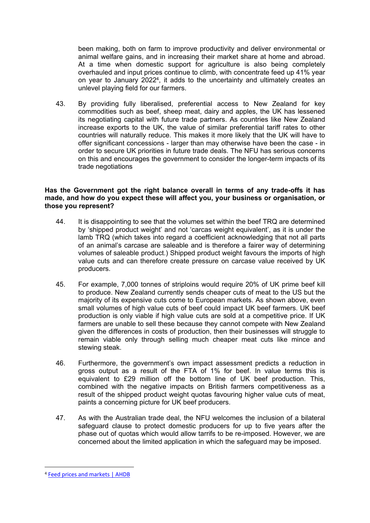been making, both on farm to improve productivity and deliver environmental or animal welfare gains, and in increasing their market share at home and abroad. At a time when domestic support for agriculture is also being completely overhauled and input prices continue to climb, with concentrate feed up 41% year on year to January 2022<sup>4</sup>, it adds to the uncertainty and ultimately creates an unlevel playing field for our farmers.

43. By providing fully liberalised, preferential access to New Zealand for key commodities such as beef, sheep meat, dairy and apples, the UK has lessened its negotiating capital with future trade partners. As countries like New Zealand increase exports to the UK, the value of similar preferential tariff rates to other countries will naturally reduce. This makes it more likely that the UK will have to offer significant concessions - larger than may otherwise have been the case - in order to secure UK priorities in future trade deals. The NFU has serious concerns on this and encourages the government to consider the longer-term impacts of its trade negotiations

#### **Has the Government got the right balance overall in terms of any trade-offs it has made, and how do you expect these will affect you, your business or organisation, or those you represent?**

- 44. It is disappointing to see that the volumes set within the beef TRQ are determined by 'shipped product weight' and not 'carcas weight equivalent', as it is under the lamb TRQ (which takes into regard a coefficient acknowledging that not all parts of an animal's carcase are saleable and is therefore a fairer way of determining volumes of saleable product.) Shipped product weight favours the imports of high value cuts and can therefore create pressure on carcase value received by UK producers.
- 45. For example, 7,000 tonnes of striploins would require 20% of UK prime beef kill to produce. New Zealand currently sends cheaper cuts of meat to the US but the majority of its expensive cuts come to European markets. As shown above, even small volumes of high value cuts of beef could impact UK beef farmers. UK beef production is only viable if high value cuts are sold at a competitive price. If UK farmers are unable to sell these because they cannot compete with New Zealand given the differences in costs of production, then their businesses will struggle to remain viable only through selling much cheaper meat cuts like mince and stewing steak.
- 46. Furthermore, the government's own impact assessment predicts a reduction in gross output as a result of the FTA of 1% for beef. In value terms this is equivalent to £29 million off the bottom line of UK beef production. This, combined with the negative impacts on British farmers competitiveness as a result of the shipped product weight quotas favouring higher value cuts of meat, paints a concerning picture for UK beef producers.
- 47. As with the Australian trade deal, the NFU welcomes the inclusion of a bilateral safeguard clause to protect domestic producers for up to five years after the phase out of quotas which would allow tarrifs to be re-imposed. However, we are concerned about the limited application in which the safeguard may be imposed.

<sup>4</sup> [Feed](https://ahdb.org.uk/dairy/feed-prices-and-markets) [prices](https://ahdb.org.uk/dairy/feed-prices-and-markets) [and](https://ahdb.org.uk/dairy/feed-prices-and-markets) [markets](https://ahdb.org.uk/dairy/feed-prices-and-markets) [|](https://ahdb.org.uk/dairy/feed-prices-and-markets) [AHDB](https://ahdb.org.uk/dairy/feed-prices-and-markets)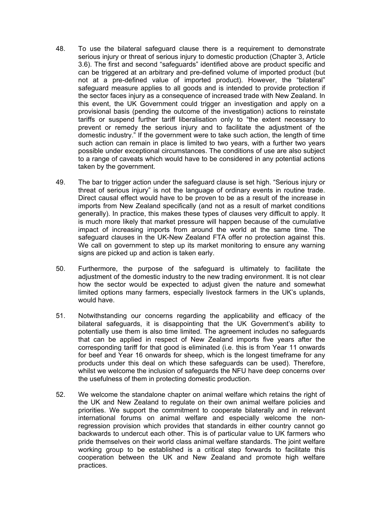- 48. To use the bilateral safeguard clause there is a requirement to demonstrate serious injury or threat of serious injury to domestic production (Chapter 3, Article 3.6). The first and second "safeguards" identified above are product specific and can be triggered at an arbitrary and pre-defined volume of imported product (but not at a pre-defined value of imported product). However, the "bilateral" safeguard measure applies to all goods and is intended to provide protection if the sector faces injury as a consequence of increased trade with New Zealand. In this event, the UK Government could trigger an investigation and apply on a provisional basis (pending the outcome of the investigation) actions to reinstate tariffs or suspend further tariff liberalisation only to "the extent necessary to prevent or remedy the serious injury and to facilitate the adjustment of the domestic industry." If the government were to take such action, the length of time such action can remain in place is limited to two years, with a further two years possible under exceptional circumstances. The conditions of use are also subject to a range of caveats which would have to be considered in any potential actions taken by the government.
- 49. The bar to trigger action under the safeguard clause is set high. "Serious injury or threat of serious injury" is not the language of ordinary events in routine trade. Direct causal effect would have to be proven to be as a result of the increase in imports from New Zealand specifically (and not as a result of market conditions generally). In practice, this makes these types of clauses very difficult to apply. It is much more likely that market pressure will happen because of the cumulative impact of increasing imports from around the world at the same time. The safeguard clauses in the UK-New Zealand FTA offer no protection against this. We call on government to step up its market monitoring to ensure any warning signs are picked up and action is taken early.
- 50. Furthermore, the purpose of the safeguard is ultimately to facilitate the adjustment of the domestic industry to the new trading environment. It is not clear how the sector would be expected to adjust given the nature and somewhat limited options many farmers, especially livestock farmers in the UK's uplands, would have.
- 51. Notwithstanding our concerns regarding the applicability and efficacy of the bilateral safeguards, it is disappointing that the UK Government's ability to potentially use them is also time limited. The agreement includes no safeguards that can be applied in respect of New Zealand imports five years after the corresponding tariff for that good is eliminated (i.e. this is from Year 11 onwards for beef and Year 16 onwards for sheep, which is the longest timeframe for any products under this deal on which these safeguards can be used). Therefore, whilst we welcome the inclusion of safeguards the NFU have deep concerns over the usefulness of them in protecting domestic production.
- 52. We welcome the standalone chapter on animal welfare which retains the right of the UK and New Zealand to regulate on their own animal welfare policies and priorities. We support the commitment to cooperate bilaterally and in relevant international forums on animal welfare and especially welcome the nonregression provision which provides that standards in either country cannot go backwards to undercut each other. This is of particular value to UK farmers who pride themselves on their world class animal welfare standards. The joint welfare working group to be established is a critical step forwards to facilitate this cooperation between the UK and New Zealand and promote high welfare practices.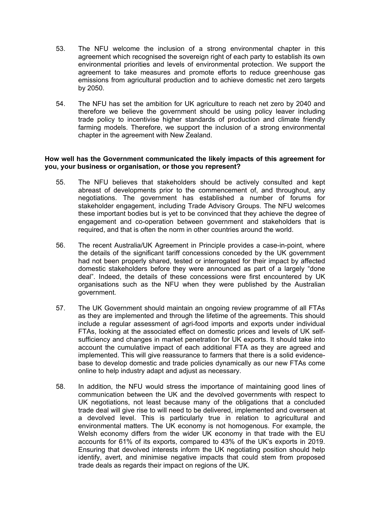- 53. The NFU welcome the inclusion of a strong environmental chapter in this agreement which recognised the sovereign right of each party to establish its own environmental priorities and levels of environmental protection. We support the agreement to take measures and promote efforts to reduce greenhouse gas emissions from agricultural production and to achieve domestic net zero targets by 2050.
- 54. The NFU has set the ambition for UK agriculture to reach net zero by 2040 and therefore we believe the government should be using policy leaver including trade policy to incentivise higher standards of production and climate friendly farming models. Therefore, we support the inclusion of a strong environmental chapter in the agreement with New Zealand.

#### **How well has the Government communicated the likely impacts of this agreement for you, your business or organisation, or those you represent?**

- 55. The NFU believes that stakeholders should be actively consulted and kept abreast of developments prior to the commencement of, and throughout, any negotiations. The government has established a number of forums for stakeholder engagement, including Trade Advisory Groups. The NFU welcomes these important bodies but is yet to be convinced that they achieve the degree of engagement and co-operation between government and stakeholders that is required, and that is often the norm in other countries around the world.
- 56. The recent Australia/UK Agreement in Principle provides a case-in-point, where the details of the significant tariff concessions conceded by the UK government had not been properly shared, tested or interrogated for their impact by affected domestic stakeholders before they were announced as part of a largely "done deal". Indeed, the details of these concessions were first encountered by UK organisations such as the NFU when they were published by the Australian government.
- 57. The UK Government should maintain an ongoing review programme of all FTAs as they are implemented and through the lifetime of the agreements. This should include a regular assessment of agri-food imports and exports under individual FTAs, looking at the associated effect on domestic prices and levels of UK selfsufficiency and changes in market penetration for UK exports. It should take into account the cumulative impact of each additional FTA as they are agreed and implemented. This will give reassurance to farmers that there is a solid evidencebase to develop domestic and trade policies dynamically as our new FTAs come online to help industry adapt and adjust as necessary.
- 58. In addition, the NFU would stress the importance of maintaining good lines of communication between the UK and the devolved governments with respect to UK negotiations, not least because many of the obligations that a concluded trade deal will give rise to will need to be delivered, implemented and overseen at a devolved level. This is particularly true in relation to agricultural and environmental matters. The UK economy is not homogenous. For example, the Welsh economy differs from the wider UK economy in that trade with the EU accounts for 61% of its exports, compared to 43% of the UK's exports in 2019. Ensuring that devolved interests inform the UK negotiating position should help identify, avert, and minimise negative impacts that could stem from proposed trade deals as regards their impact on regions of the UK.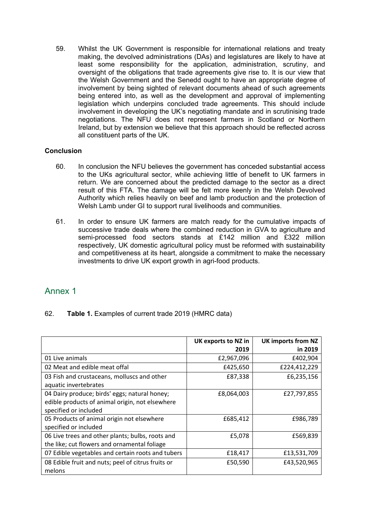59. Whilst the UK Government is responsible for international relations and treaty making, the devolved administrations (DAs) and legislatures are likely to have at least some responsibility for the application, administration, scrutiny, and oversight of the obligations that trade agreements give rise to. It is our view that the Welsh Government and the Senedd ought to have an appropriate degree of involvement by being sighted of relevant documents ahead of such agreements being entered into, as well as the development and approval of implementing legislation which underpins concluded trade agreements. This should include involvement in developing the UK's negotiating mandate and in scrutinising trade negotiations. The NFU does not represent farmers in Scotland or Northern Ireland, but by extension we believe that this approach should be reflected across all constituent parts of the UK.

## **Conclusion**

- 60. In conclusion the NFU believes the government has conceded substantial access to the UKs agricultural sector, while achieving little of benefit to UK farmers in return. We are concerned about the predicted damage to the sector as a direct result of this FTA. The damage will be felt more keenly in the Welsh Devolved Authority which relies heavily on beef and lamb production and the protection of Welsh Lamb under GI to support rural livelihoods and communities.
- 61. In order to ensure UK farmers are match ready for the cumulative impacts of successive trade deals where the combined reduction in GVA to agriculture and semi-processed food sectors stands at £142 million and £322 million respectively, UK domestic agricultural policy must be reformed with sustainability and competitiveness at its heart, alongside a commitment to make the necessary investments to drive UK export growth in agri-food products.

## Annex 1

## 62. **Table 1.** Examples of current trade 2019 (HMRC data)

|                                                    | UK exports to NZ in | <b>UK imports from NZ</b> |
|----------------------------------------------------|---------------------|---------------------------|
|                                                    | 2019                | in 2019                   |
| 01 Live animals                                    | £2,967,096          | £402,904                  |
| 02 Meat and edible meat offal                      | £425,650            | £224,412,229              |
| 03 Fish and crustaceans, molluscs and other        | £87,338             | £6,235,156                |
| aquatic invertebrates                              |                     |                           |
| 04 Dairy produce; birds' eggs; natural honey;      | £8,064,003          | £27,797,855               |
| edible products of animal origin, not elsewhere    |                     |                           |
| specified or included                              |                     |                           |
| 05 Products of animal origin not elsewhere         | £685,412            | £986,789                  |
| specified or included                              |                     |                           |
| 06 Live trees and other plants; bulbs, roots and   | £5,078              | £569,839                  |
| the like; cut flowers and ornamental foliage       |                     |                           |
| 07 Edible vegetables and certain roots and tubers  | £18,417             | £13,531,709               |
| 08 Edible fruit and nuts; peel of citrus fruits or | £50,590             | £43,520,965               |
| melons                                             |                     |                           |